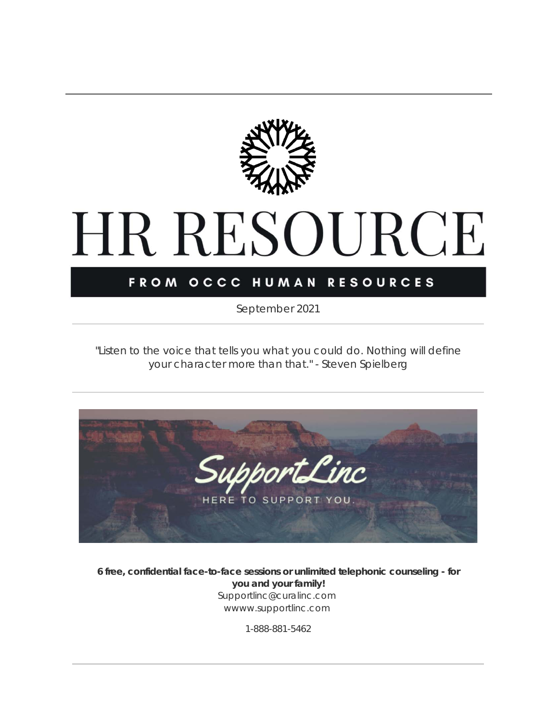

## HR RESOURCE

### FROM OCCC HUMAN RESOURCES

*September 2021*

*"Listen to the voice that tells you what you could do. Nothing will define your character more than that."* - Steven Spielberg



**6 free, confidential face-to-face sessions or unlimited telephonic counseling - for you and your family!** Supportlinc@curalinc.com wwww.supportlinc.com

1-888-881-5462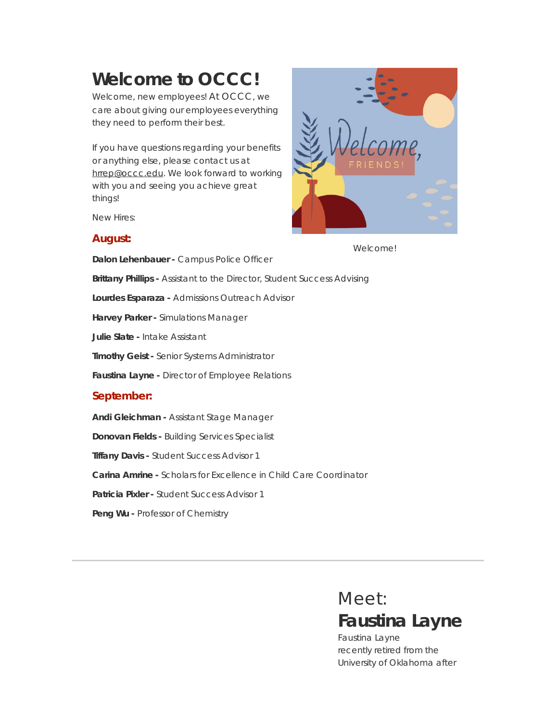## **Welcome to OCCC!**

Welcome, new employees! At OCCC, we care about giving our employees everything they need to perform their best.

If you have questions regarding your benefits or anything else, please contact us at [hrrep@occc.edu](mailto:hrrep@occc.edu). We look forward to working with you and seeing you achieve great things!

New Hires:

### **August:**



Welcome!

**Dalon Lehenbauer -** Campus Police Officer **Brittany Phillips -** Assistant to the Director, Student Success Advising **Lourdes Esparaza -** Admissions Outreach Advisor **Harvey Parker -** Simulations Manager **Julie Slate -** Intake Assistant **Timothy Geist -** Senior Systems Administrator **Faustina Layne -** Director of Employee Relations **September: Andi Gleichman -** Assistant Stage Manager **Donovan Fields -** Building Services Specialist **Tiffany Davis -** Student Success Advisor 1

**Carina Amrine -** Scholars for Excellence in Child Care Coordinator

**Patricia Pixler -** Student Success Advisor 1

**Peng Wu -** Professor of Chemistry

## Meet: **Faustina Layne**

Faustina Layne recently retired from the University of Oklahoma after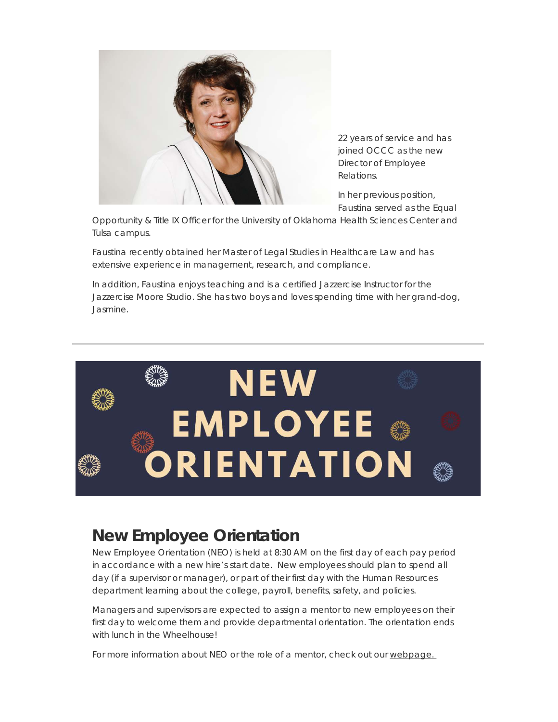

22 years of service and has joined OCCC as the new Director of Employee Relations.

In her previous position, Faustina served as the Equal

Opportunity & Title IX Officer for the University of Oklahoma Health Sciences Center and Tulsa campus.

Faustina recently obtained her Master of Legal Studies in Healthcare Law and has extensive experience in management, research, and compliance.

In addition, Faustina enjoys teaching and is a certified Jazzercise Instructor for the Jazzercise Moore Studio. She has two boys and loves spending time with her grand-dog, Jasmine.



### **New Employee Orientation**

New Employee Orientation (NEO) is held at 8:30 AM on the first day of each pay period in accordance with a new hire's start date. New employees should plan to spend all day (if a supervisor or manager), or part of their first day with the Human Resources department learning about the college, payroll, benefits, safety, and policies.

Managers and supervisors are expected to assign a mentor to new employees on their first day to welcome them and provide departmental orientation. The orientation ends with lunch in the Wheelhouse!

For more information about NEO or the role of a mentor, check out our [webpage.](https://t.e2ma.net/click/b2r8xjc/3bm47xl/bepy9zce)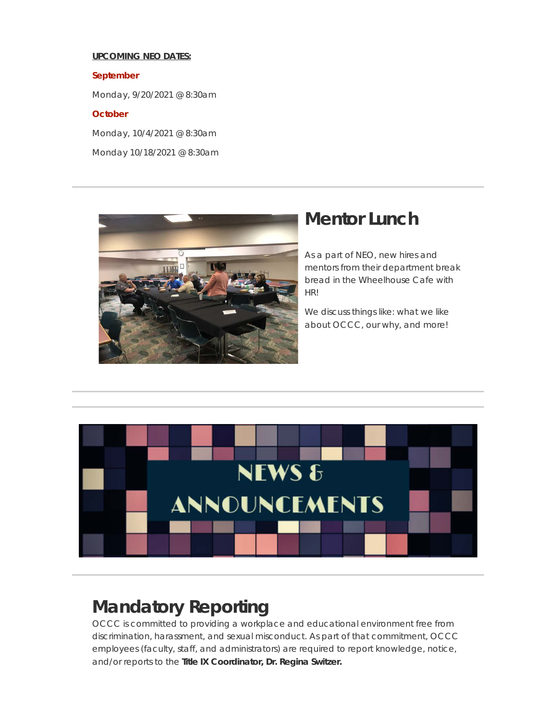### **UPCOMING NEO DATES:**

**September**

Monday, 9/20/2021 @ 8:30am

### **October**

Monday, 10/4/2021 @ 8:30am

Monday 10/18/2021 @ 8:30am



### **Mentor Lunch**

As a part of NEO, new hires and mentors from their department break bread in the Wheelhouse Cafe with HR!

We discuss things like: what we like about OCCC, our why, and more!



## **Mandatory Reporting**

OCCC is committed to providing a workplace and educational environment free from discrimination, harassment, and sexual misconduct. As part of that commitment, OCCC employees (faculty, staff, and administrators) are required to report knowledge, notice, and/or reports to the **Title IX Coordinator, Dr. Regina Switzer.**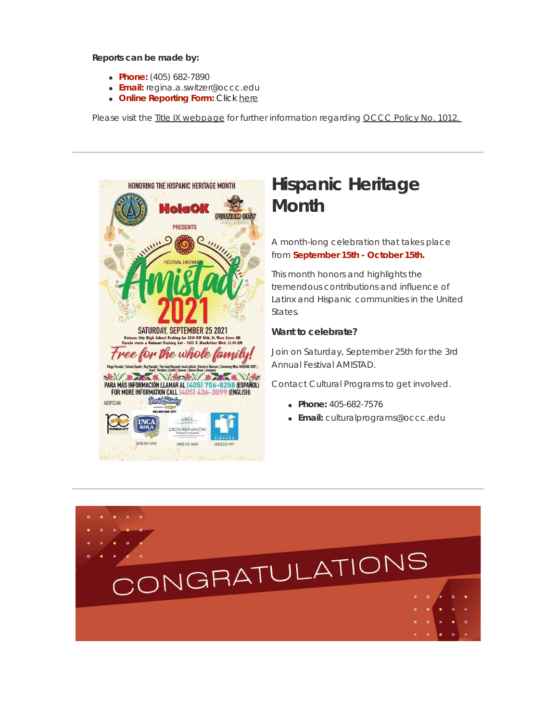**Reports can be made by:**

- **Phone:** (405) 682-7890
- **Email:** regina.a.switzer@occc.edu
- **Online Reporting Form:** Click [here](https://t.e2ma.net/click/b2r8xjc/3bm47xl/r6py9zce)

Please visit the **Title IX [webpage](https://t.e2ma.net/click/b2r8xjc/3bm47xl/7yqy9zce)** for further information regarding [OCCC](https://t.e2ma.net/click/b2r8xjc/3bm47xl/nrry9zce) Policy No. 1012.



## **Hispanic Heritage Month**

A month-long celebration that takes place from **September 15th - October 15th.**

This month honors and highlights the tremendous contributions and influence of Latinx and Hispanic communities in the United States.

### **Want to celebrate?**

Join on Saturday, September 25th for the 3rd Annual Festival AMISTAD.

Contact Cultural Programs to get involved.

- **Phone:** 405-682-7576
- **Email:** culturalprograms@occc.edu

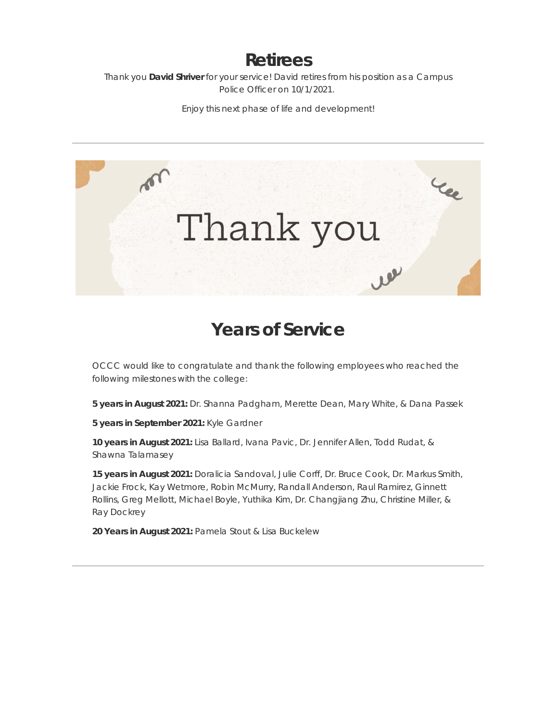### **Retirees**

Thank you **David Shriver** for your service! David retires from his position as a Campus Police Officer on 10/1/2021.

Enjoy this next phase of life and development!



### **Years of Service**

OCCC would like to congratulate and thank the following employees who reached the following milestones with the college:

**5 years in August 2021:** Dr. Shanna Padgham, Merette Dean, Mary White, & Dana Passek

**5 years in September 2021:** Kyle Gardner

**10 years in August 2021:** Lisa Ballard, Ivana Pavic, Dr. Jennifer Allen, Todd Rudat, & Shawna Talamasey

**15 years in August 2021:** Doralicia Sandoval, Julie Corff, Dr. Bruce Cook, Dr. Markus Smith, Jackie Frock, Kay Wetmore, Robin McMurry, Randall Anderson, Raul Ramirez, Ginnett Rollins, Greg Mellott, Michael Boyle, Yuthika Kim, Dr. Changjiang Zhu, Christine Miller, & Ray Dockrey

**20 Years in August 2021:** Pamela Stout & Lisa Buckelew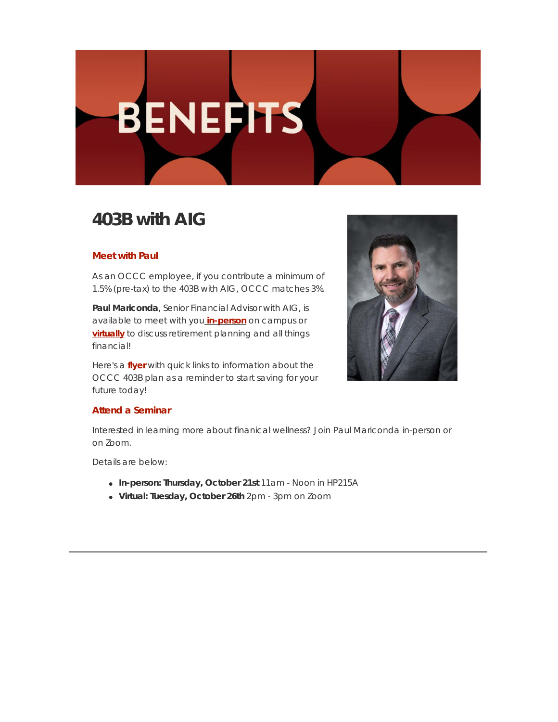# **BENEFITS**

## **403B with AIG**

### **Meet with Paul**

As an OCCC employee, if you contribute a minimum of 1.5% (pre-tax) to the 403B with AIG, OCCC matches 3%.

**Paul Mariconda**, Senior Financial Advisor with AIG, is available to meet with you **[in-person](https://t.e2ma.net/click/b2r8xjc/3bm47xl/3jsy9zce)** on campus or **[virtually](https://t.e2ma.net/click/b2r8xjc/3bm47xl/jcty9zce)** to discuss retirement planning and all things financial!

Here's a **[flyer](https://t.e2ma.net/click/b2r8xjc/3bm47xl/z4ty9zce)** with quick links to information about the OCCC 403B plan as a reminder to start saving for your future today!



### **Attend a Seminar**

Interested in learning more about finanical wellness? Join Paul Mariconda in-person or on Zoom.

Details are below:

- **In-person: Thursday, October 21st** 11am Noon in HP215A
- **Virtual: Tuesday, October 26th** 2pm 3pm on Zoom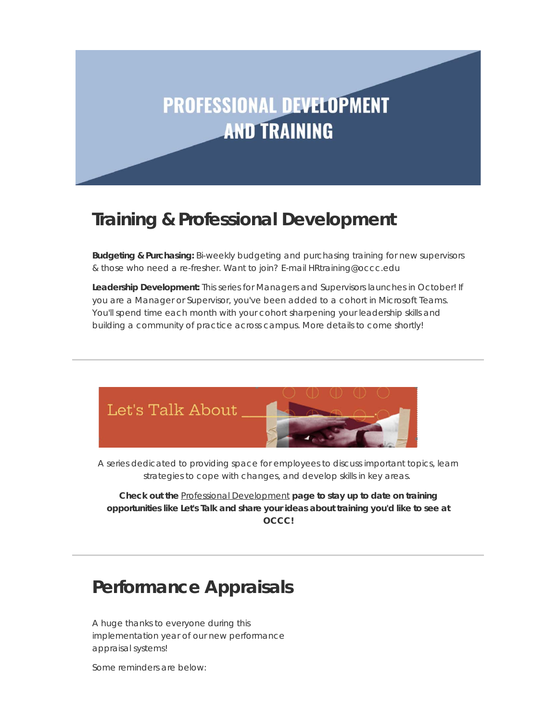## **PROFESSIONAL DEVELOPMENT AND TRAINING**

### **Training & Professional Development**

**Budgeting & Purchasing:** Bi-weekly budgeting and purchasing training for new supervisors & those who need a re-fresher. Want to join? E-mail HRtraining@occc.edu

**Leadership Development:** This series for Managers and Supervisors launches in October! If you are a Manager or Supervisor, you've been added to a cohort in Microsoft Teams. You'll spend time each month with your cohort sharpening your leadership skills and building a community of practice across campus. More details to come shortly!



A series dedicated to providing space for employees to discuss important topics, learn strategies to cope with changes, and develop skills in key areas.

**Check out the** Professional [Development](https://t.e2ma.net/click/b2r8xjc/3bm47xl/fxuy9zce) **page to stay up to date on training opportunities like Let's Talk and share your ideas about training you'd like to see at OCCC!**

## **Performance Appraisals**

A huge thanks to everyone during this implementation year of our new performance appraisal systems!

Some reminders are below: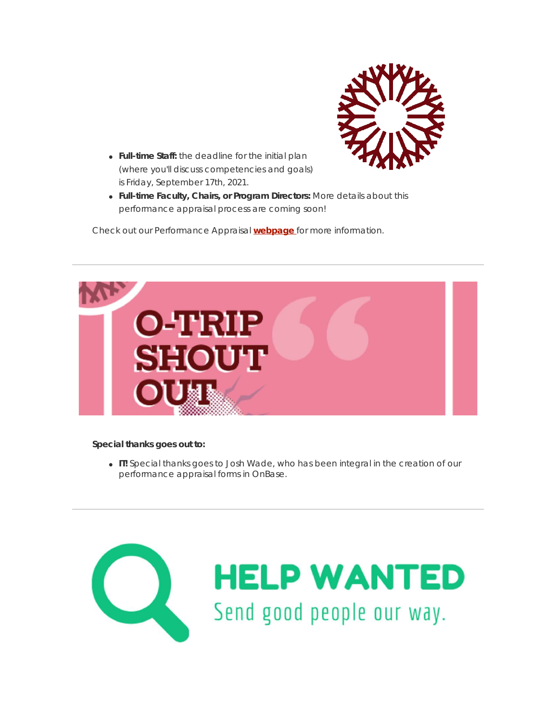

- **Full-time Staff:** the deadline for the initial plan (where you'll discuss competencies and goals) is Friday, September 17th, 2021.
- **Full-time Faculty, Chairs, or Program Directors:** More details about this performance appraisal process are coming soon!

Check out our Performance Appraisal **[webpage](https://t.e2ma.net/click/b2r8xjc/3bm47xl/vpvy9zce)** for more information.



#### **Special thanks goes out to:**

**IT!** Special thanks goes to Josh Wade, who has been integral in the creation of our performance appraisal forms in OnBase.

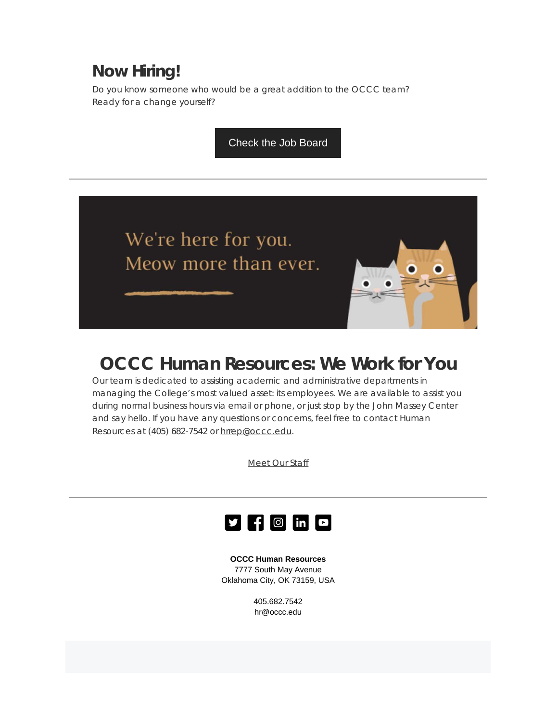### **Now Hiring!**

Do you know someone who would be a great addition to the OCCC team? Ready for a change yourself?

[Check the Job Board](https://t.e2ma.net/click/b2r8xjc/3bm47xl/biwy9zce)

We're here for you. Meow more than ever.



### **OCCC Human Resources: We Work for You**

Our team is dedicated to assisting academic and administrative departments in managing the College's most valued asset: its employees. We are available to assist you during normal business hours via email or phone, or just stop by the John Massey Center and say hello. If you have any questions or concerns, feel free to contact Human Resources at (405) 682-7542 or [hrrep@occc.edu](mailto:hrrep@occc.edu).

[Meet](https://t.e2ma.net/click/b2r8xjc/3bm47xl/raxy9zce) Our Staff



**OCCC Human Resources** 7777 South May Avenue Oklahoma City, OK 73159, USA

> 405.682.7542 hr@occc.edu